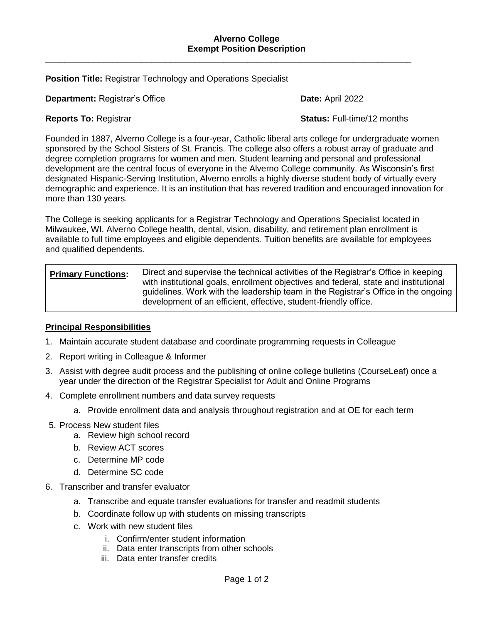**\_\_\_\_\_\_\_\_\_\_\_\_\_\_\_\_\_\_\_\_\_\_\_\_\_\_\_\_\_\_\_\_\_\_\_\_\_\_\_\_\_\_\_\_\_\_\_\_\_\_\_\_\_\_\_\_\_\_\_\_\_\_\_\_\_\_\_\_\_\_\_\_\_\_\_\_**

**Position Title:** Registrar Technology and Operations Specialist

**Department:** Registrar's Office **Date: Date:** April 2022

**Reports To:** Registrar **Status:** Full-time/12 months

Founded in 1887, Alverno College is a four-year, Catholic liberal arts college for undergraduate women sponsored by the School Sisters of St. Francis. The college also offers a robust array of graduate and degree completion programs for women and men. Student learning and personal and professional development are the central focus of everyone in the Alverno College community. As Wisconsin's first designated Hispanic-Serving Institution, Alverno enrolls a highly diverse student body of virtually every demographic and experience. It is an institution that has revered tradition and encouraged innovation for more than 130 years.

The College is seeking applicants for a Registrar Technology and Operations Specialist located in Milwaukee, WI. Alverno College health, dental, vision, disability, and retirement plan enrollment is available to full time employees and eligible dependents. Tuition benefits are available for employees and qualified dependents.

| <b>Primary Functions:</b> | Direct and supervise the technical activities of the Registrar's Office in keeping<br>with institutional goals, enrollment objectives and federal, state and institutional |
|---------------------------|----------------------------------------------------------------------------------------------------------------------------------------------------------------------------|
|                           | guidelines. Work with the leadership team in the Registrar's Office in the ongoing<br>development of an efficient, effective, student-friendly office.                     |

## **Principal Responsibilities**

- 1. Maintain accurate student database and coordinate programming requests in Colleague
- 2. Report writing in Colleague & Informer
- 3. Assist with degree audit process and the publishing of online college bulletins (CourseLeaf) once a year under the direction of the Registrar Specialist for Adult and Online Programs
- 4. Complete enrollment numbers and data survey requests
	- a. Provide enrollment data and analysis throughout registration and at OE for each term
- 5. Process New student files
	- a. Review high school record
	- b. Review ACT scores
	- c. Determine MP code
	- d. Determine SC code
- 6. Transcriber and transfer evaluator
	- a. Transcribe and equate transfer evaluations for transfer and readmit students
	- b. Coordinate follow up with students on missing transcripts
	- c. Work with new student files
		- i. Confirm/enter student information
		- ii. Data enter transcripts from other schools
		- iii. Data enter transfer credits